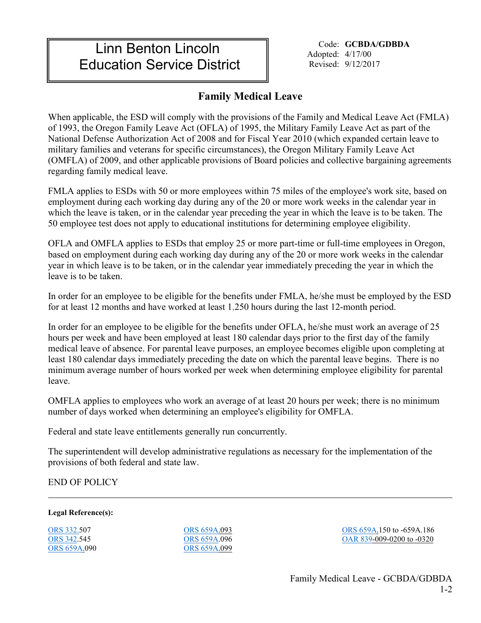## Linn Benton Lincoln Education Service District

Code: **GCBDA/GDBDA** Adopted: 4/17/00 Revised: 9/12/2017

## **Family Medical Leave**

When applicable, the ESD will comply with the provisions of the Family and Medical Leave Act (FMLA) of 1993, the Oregon Family Leave Act (OFLA) of 1995, the Military Family Leave Act as part of the National Defense Authorization Act of 2008 and for Fiscal Year 2010 (which expanded certain leave to military families and veterans for specific circumstances), the Oregon Military Family Leave Act (OMFLA) of 2009, and other applicable provisions of Board policies and collective bargaining agreements regarding family medical leave.

FMLA applies to ESDs with 50 or more employees within 75 miles of the employee's work site, based on employment during each working day during any of the 20 or more work weeks in the calendar year in which the leave is taken, or in the calendar year preceding the year in which the leave is to be taken. The 50 employee test does not apply to educational institutions for determining employee eligibility.

OFLA and OMFLA applies to ESDs that employ 25 or more part-time or full-time employees in Oregon, based on employment during each working day during any of the 20 or more work weeks in the calendar year in which leave is to be taken, or in the calendar year immediately preceding the year in which the leave is to be taken.

In order for an employee to be eligible for the benefits under FMLA, he/she must be employed by the ESD for at least 12 months and have worked at least 1,250 hours during the last 12-month period.

In order for an employee to be eligible for the benefits under OFLA, he/she must work an average of 25 hours per week and have been employed at least 180 calendar days prior to the first day of the family medical leave of absence. For parental leave purposes, an employee becomes eligible upon completing at least 180 calendar days immediately preceding the date on which the parental leave begins. There is no minimum average number of hours worked per week when determining employee eligibility for parental leave.

OMFLA applies to employees who work an average of at least 20 hours per week; there is no minimum number of days worked when determining an employee's eligibility for OMFLA.

Federal and state leave entitlements generally run concurrently.

The superintendent will develop administrative regulations as necessary for the implementation of the provisions of both federal and state law.

## END OF POLICY

## **Legal Reference(s):**

[ORS 659A.0](https://www.oregonlegislature.gov/bills_laws/ors/ors659.html)90 [ORS 659A.](https://www.oregonlegislature.gov/bills_laws/ors/ors659.html)099

[ORS 332.5](https://www.oregonlegislature.gov/bills_laws/ors/ors332.html)07 [ORS 659A.](https://www.oregonlegislature.gov/bills_laws/ors/ors659.html)093 [ORS 659A.](https://www.oregonlegislature.gov/bills_laws/ors/ors659.html)150 to -659A.186 [ORS 342.](https://www.oregonlegislature.gov/bills_laws/ors/ors342.html)545 [ORS 659A.](https://www.oregonlegislature.gov/bills_laws/ors/ors659.html)096 [OAR 839-](https://secure.sos.state.or.us/oard/displayChapterRules.action?selectedChapter=24)009-0200 to -0320